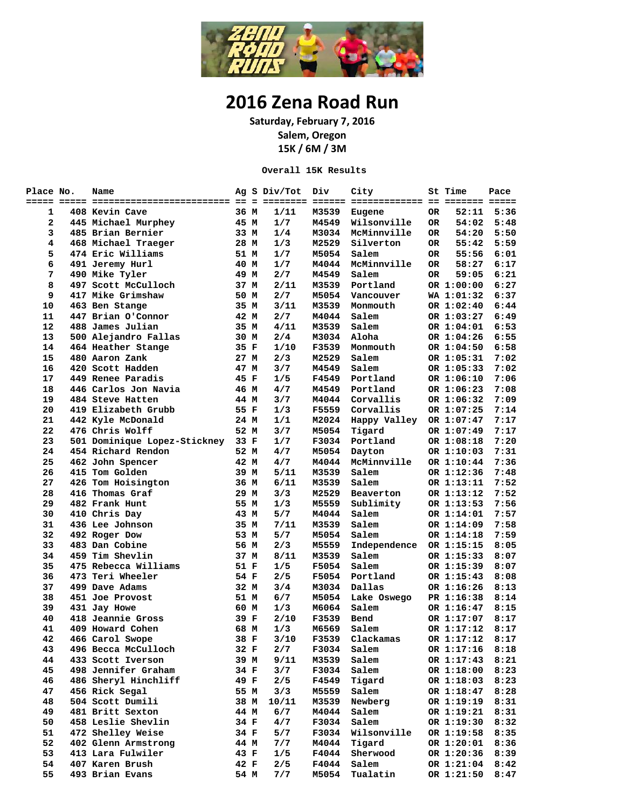

## **2016 Zena Road Run**

**Saturday, February 7, 2016 Salem, Oregon 15K / 6M / 3M**

**Overall 15K Results**

| Place No. | Name                         |      | Ag S Div/Tot | Div          | City         |     | St Time    | Pace |
|-----------|------------------------------|------|--------------|--------------|--------------|-----|------------|------|
|           |                              |      |              |              |              |     |            |      |
| 1         | 408 Kevin Cave               | 36 M | 1/11         | M3539        | Eugene       | 0R  | 52:11      | 5:36 |
| 2         | 445 Michael Murphey          | 45 M | 1/7          | <b>M4549</b> | Wilsonville  | OR  | 54:02      | 5:48 |
| 3         | 485 Brian Bernier            | 33 M | 1/4          | M3034        | McMinnville  | OR  | 54:20      | 5:50 |
| 4         | 468 Michael Traeger          | 28 M | 1/3          | M2529        | Silverton    | OR. | 55:42      | 5:59 |
| 5         | 474 Eric Williams            | 51 M | 1/7          | M5054        | Salem        | OR  | 55:56      | 6:01 |
| 6         | 491 Jeremy Hurl              | 40 M | 1/7          | M4044        | McMinnville  | OR  | 58:27      | 6:17 |
| 7         | 490 Mike Tyler               | 49 M | 2/7          | M4549        | Salem        | OR  | 59:05      | 6:21 |
| 8         | 497 Scott McCulloch          | 37 M | 2/11         | M3539        | Portland     |     | OR 1:00:00 | 6:27 |
| 9         | 417 Mike Grimshaw            | 50 M | 2/7          | M5054        | Vancouver    |     | WA 1:01:32 | 6:37 |
| 10        | 463 Ben Stange               | 35 M | 3/11         | M3539        | Monmouth     |     | OR 1:02:40 | 6:44 |
| 11        | 447 Brian O'Connor           | 42 M | 2/7          | M4044        | Salem        |     | OR 1:03:27 | 6:49 |
| 12        | 488 James Julian             | 35 M | 4/11         | M3539        | Salem        |     | OR 1:04:01 | 6:53 |
| 13        | 500 Alejandro Fallas         | 30 M | 2/4          | M3034        | Aloha        |     | OR 1:04:26 | 6:55 |
| 14        | 464 Heather Stange           | 35 F | 1/10         | F3539        | Monmouth     |     | OR 1:04:50 | 6:58 |
| 15        | 480 Aaron Zank               | 27 M | 2/3          | M2529        | Salem        |     | OR 1:05:31 | 7:02 |
| 16        | 420 Scott Hadden             | 47 M | 3/7          | M4549        | Salem        |     | OR 1:05:33 | 7:02 |
| 17        | 449 Renee Paradis            | 45 F | 1/5          | F4549        | Portland     |     | OR 1:06:10 | 7:06 |
| 18        | 446 Carlos Jon Navia         | 46 M | 4/7          | M4549        | Portland     |     | OR 1:06:23 | 7:08 |
| 19        | 484 Steve Hatten             | 44 M | 3/7          | M4044        | Corvallis    |     | OR 1:06:32 | 7:09 |
| 20        | 419 Elizabeth Grubb          | 55 F | 1/3          | F5559        | Corvallis    |     | OR 1:07:25 | 7:14 |
| 21        | 442 Kyle McDonald            | 24 M | 1/1          | M2024        | Happy Valley |     | OR 1:07:47 | 7:17 |
| 22        | 476 Chris Wolff              | 52 M | 3/7          | M5054        | Tigard       |     | OR 1:07:49 | 7:17 |
| 23        | 501 Dominique Lopez-Stickney | 33 F | 1/7          | F3034        | Portland     |     | OR 1:08:18 | 7:20 |
| 24        | 454 Richard Rendon           | 52 M | 4/7          | M5054        | Dayton       |     | OR 1:10:03 | 7:31 |
| 25        | 462 John Spencer             | 42 M | 4/7          | M4044        | McMinnville  |     | OR 1:10:44 | 7:36 |
| 26        | 415 Tom Golden               | 39 M | 5/11         | M3539        | Salem        |     | OR 1:12:36 | 7:48 |
| 27        | 426 Tom Hoisington           | 36 M | 6/11         | M3539        | Salem        |     | OR 1:13:11 | 7:52 |
| 28        | 416 Thomas Graf              | 29 M | 3/3          | M2529        | Beaverton    |     | OR 1:13:12 | 7:52 |
| 29        | 482 Frank Hunt               | 55 M | 1/3          | M5559        | Sublimity    |     | OR 1:13:53 | 7:56 |
| 30        | 410 Chris Day                | 43 M | 5/7          | M4044        | Salem        |     | OR 1:14:01 | 7:57 |
| 31        | 436 Lee Johnson              | 35 M | 7/11         | M3539        | Salem        |     | OR 1:14:09 | 7:58 |
| 32        | 492 Roger Dow                | 53 M | 5/7          | M5054        | Salem        |     | OR 1:14:18 | 7:59 |
| 33        | 483 Dan Cobine               | 56 M | 2/3          | M5559        | Independence |     | OR 1:15:15 | 8:05 |
| 34        | 459 Tim Shevlin              | 37 M | 8/11         | M3539        | Salem        |     | OR 1:15:33 | 8:07 |
| 35        | 475 Rebecca Williams         | 51 F | 1/5          | F5054        | Salem        |     | OR 1:15:39 | 8:07 |
| 36        | 473 Teri Wheeler             | 54 F | 2/5          | F5054        | Portland     |     | OR 1:15:43 | 8:08 |
| 37        | 499 Dave Adams               | 32 M | 3/4          | M3034        | Dallas       |     | OR 1:16:26 | 8:13 |
| 38        | 451 Joe Provost              | 51 M | 6/7          | M5054        | Lake Oswego  |     | PR 1:16:38 | 8:14 |
| 39        | 431 Jay Howe                 | 60 M | 1/3          | M6064        | Salem        |     | OR 1:16:47 | 8:15 |
| 40        | 418 Jeannie Gross            | 39 F | 2/10         | F3539        | Bend         |     | OR 1:17:07 | 8:17 |
| 41        | 409 Howard Cohen             | 68 M | 1/3          | M6569        | Salem        |     | OR 1:17:12 | 8:17 |
| 42        | 466 Carol Swope              | 38 F | 3/10         | F3539        | Clackamas    |     | OR 1:17:12 | 8:17 |
| 43        | 496 Becca McCulloch          | 32 F | 2/7          | F3034        | Salem        |     | OR 1:17:16 | 8:18 |
| 44        | 433 Scott Iverson            | 39 M | 9/11         | M3539        | Salem        |     | OR 1:17:43 | 8:21 |
| 45        | 498 Jennifer Graham          | 34 F | 3/7          | F3034        | Salem        |     | OR 1:18:00 | 8:23 |
| 46        | 486 Sheryl Hinchliff         | 49 F | 2/5          | F4549        | Tigard       |     | OR 1:18:03 | 8:23 |
| 47        | 456 Rick Segal               | 55 M | 3/3          | M5559        | Salem        |     | OR 1:18:47 | 8:28 |
| 48        | 504 Scott Dumili             | 38 M | 10/11        | M3539        | Newberg      |     | OR 1:19:19 | 8:31 |
| 49        | 481 Britt Sexton             | 44 M | 6/7          | M4044        | Salem        |     | OR 1:19:21 | 8:31 |
| 50        | 458 Leslie Shevlin           | 34 F | 4/7          | F3034        | Salem        |     | OR 1:19:30 | 8:32 |
| 51        | 472 Shelley Weise            | 34 F | 5/7          | F3034        | Wilsonville  |     | OR 1:19:58 | 8:35 |
| 52        | 402 Glenn Armstrong          | 44 M | 7/7          | M4044        | Tigard       |     | OR 1:20:01 | 8:36 |
| 53        | 413 Lara Fulwiler            | 43 F | 1/5          | F4044        | Sherwood     |     | OR 1:20:36 | 8:39 |
| 54        | 407 Karen Brush              | 42 F | 2/5          | F4044        | Salem        |     | OR 1:21:04 | 8:42 |
| 55        | 493 Brian Evans              | 54 M | 7/7          | M5054        | Tualatin     |     | OR 1:21:50 | 8:47 |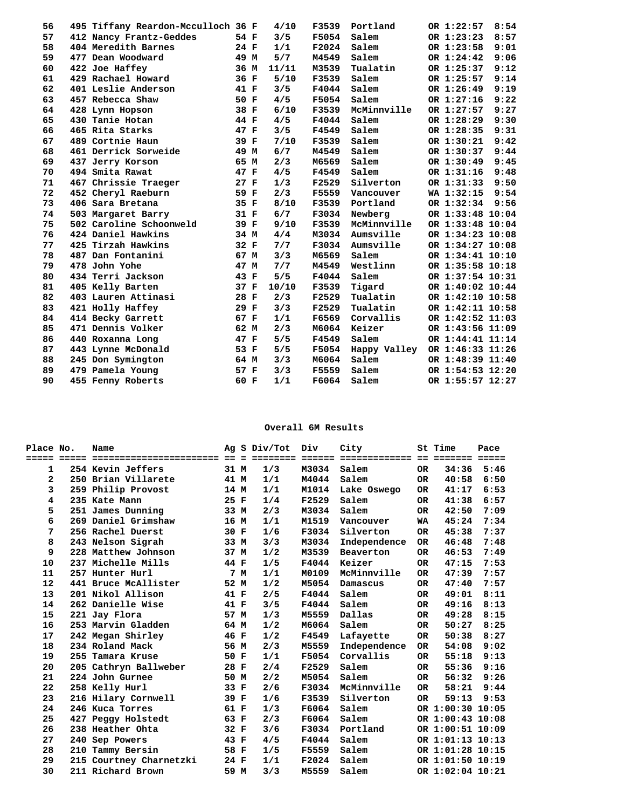| 56 | 495 Tiffany Reardon-Mcculloch 36 F |      | 4/10  | F3539        | Portland        | OR 1:22:57       | 8:54 |
|----|------------------------------------|------|-------|--------------|-----------------|------------------|------|
| 57 | 412 Nancy Frantz-Geddes            | 54 F | 3/5   | F5054        | Salem           | OR 1:23:23       | 8:57 |
| 58 | 404 Meredith Barnes                | 24 F | 1/1   | F2024        | Salem           | OR 1:23:58       | 9:01 |
| 59 | 477 Dean Woodward                  | 49 M | 5/7   | M4549        | Salem           | OR 1:24:42       | 9:06 |
| 60 | 422 Joe Haffey                     | 36 M | 11/11 | M3539        | Tualatin        | OR 1:25:37       | 9:12 |
| 61 | 429 Rachael Howard                 | 36 F | 5/10  | F3539        | Salem           | OR 1:25:57       | 9:14 |
| 62 | 401 Leslie Anderson                | 41 F | 3/5   | F4044        | Salem           | OR 1:26:49       | 9:19 |
| 63 | 457 Rebecca Shaw                   | 50 F | 4/5   | F5054        | Salem           | OR 1:27:16       | 9:22 |
| 64 | 428 Lynn Hopson                    | 38 F | 6/10  | F3539        | McMinnville     | OR 1:27:57       | 9:27 |
| 65 | 430 Tanie Hotan                    | 44 F | 4/5   | F4044        | Salem           | OR 1:28:29       | 9:30 |
| 66 | 465 Rita Starks                    | 47 F | 3/5   | F4549        | Salem           | OR 1:28:35       | 9:31 |
| 67 | 489 Cortnie Haun                   | 39 F | 7/10  | F3539        | Salem           | OR 1:30:21       | 9:42 |
| 68 | 461 Derrick Sorweide               | 49 M | 6/7   | M4549        | Salem           | OR 1:30:37       | 9:44 |
| 69 | 437 Jerry Korson                   | 65 M | 2/3   | M6569        | Salem           | OR 1:30:49       | 9:45 |
| 70 | 494 Smita Rawat                    | 47 F | 4/5   | F4549        | Salem           | OR 1:31:16       | 9:48 |
| 71 | 467 Chrissie Traeger               | 27 F | 1/3   | F2529        | Silverton       | OR 1:31:33       | 9:50 |
| 72 | 452 Cheryl Raeburn                 | 59 F | 2/3   | F5559        | Vancouver       | WA 1:32:15       | 9:54 |
| 73 | 406 Sara Bretana                   | 35 F | 8/10  | F3539        | Portland        | OR 1:32:34       | 9:56 |
| 74 | 503 Margaret Barry                 | 31 F | 6/7   | F3034        | Newberg         | OR 1:33:48 10:04 |      |
| 75 | 502 Caroline Schoonweld            | 39 F | 9/10  | F3539        | McMinnville     | OR 1:33:48 10:04 |      |
| 76 | 424 Daniel Hawkins                 | 34 M | 4/4   | M3034        | Aumsville       | OR 1:34:23 10:08 |      |
| 77 | 425 Tirzah Hawkins                 | 32 F | 7/7   |              | F3034 Aumsville | OR 1:34:27 10:08 |      |
| 78 | 487 Dan Fontanini                  | 67 M | 3/3   | M6569        | Salem           | OR 1:34:41 10:10 |      |
| 79 | 478 John Yohe                      | 47 M | 7/7   | M4549        | Westlinn        | OR 1:35:58 10:18 |      |
| 80 | 434 Terri Jackson                  | 43 F | 5/5   | F4044        | Salem           | OR 1:37:54 10:31 |      |
| 81 | 405 Kelly Barten                   | 37 F | 10/10 | F3539        | Tigard          | OR 1:40:02 10:44 |      |
| 82 | 403 Lauren Attinasi                | 28 F | 2/3   | F2529        | Tualatin        | OR 1:42:10 10:58 |      |
| 83 | 421 Holly Haffey                   | 29 F | 3/3   | F2529        | Tualatin        | OR 1:42:11 10:58 |      |
| 84 | 414 Becky Garrett                  | 67 F | 1/1   | F6569        | Corvallis       | OR 1:42:52 11:03 |      |
| 85 | 471 Dennis Volker                  | 62 M | 2/3   | M6064        | Keizer          | OR 1:43:56 11:09 |      |
| 86 | 440 Roxanna Long                   | 47 F | 5/5   | F4549        | Salem           | OR 1:44:41 11:14 |      |
| 87 | 443 Lynne McDonald                 | 53 F | 5/5   | F5054        | Happy Valley    | OR 1:46:33 11:26 |      |
| 88 | 245 Don Symington                  | 64 M | 3/3   | <b>M6064</b> | Salem           | OR 1:48:39 11:40 |      |
| 89 | 479 Pamela Young                   | 57 F | 3/3   | F5559        | Salem           | OR 1:54:53 12:20 |      |
| 90 | 455 Fenny Roberts                  | 60 F | 1/1   | F6064        | Salem           | OR 1:55:57 12:27 |      |
|    |                                    |      |       |              |                 |                  |      |

## **Overall 6M Results**

| Place No.    | Name                    | Αq   |     | S Div/Tot         | Div    | City           |     | St Time          | Pace            |
|--------------|-------------------------|------|-----|-------------------|--------|----------------|-----|------------------|-----------------|
|              |                         |      |     | $=$ = = = = = = = | ====== |                |     | =======          | $=$ $=$ $=$ $=$ |
| 1            | 254 Kevin Jeffers       | 31 M |     | 1/3               | M3034  | Salem          | OR. | 34:36            | 5:46            |
| $\mathbf{z}$ | 250 Brian Villarete     | 41 M |     | 1/1               | M4044  | Salem          | OR. | 40:58            | 6:50            |
| 3            | 259 Philip Provost      | 14 M |     | 1/1               | M1014  | Lake Oswego    | OR. | 41:17            | 6:53            |
| 4            | 235 Kate Mann           | 25 F |     | 1/4               | F2529  | Salem          | OR. | 41:38            | 6:57            |
| 5            | 251 James Dunning       | 33 M |     | 2/3               | M3034  | Salem          | OR. | 42:50            | 7:09            |
| 6            | 269 Daniel Grimshaw     | 16 M |     | 1/1               | M1519  | Vancouver      | WA  | 45:24            | 7:34            |
| 7            | 256 Rachel Duerst       | 30 F |     | 1/6               | F3034  | Silverton      | OR. | 45:38            | 7:37            |
| 8            | 243 Nelson Sigrah       | 33 M |     | 3/3               | M3034  | Independence   | OR. | 46:48            | 7:48            |
| 9            | 228 Matthew Johnson     | 37 M |     | 1/2               | M3539  | Beaverton      | 0R  | 46:53            | 7:49            |
| 10           | 237 Michelle Mills      | 44 F |     | 1/5               | F4044  | Keizer         | OR. | 47:15            | 7:53            |
| 11           | 257 Hunter Hurl         |      | 7 M | 1/1               | M0109  | McMinnville    | OR. | 47:39            | 7:57            |
| 12           | 441 Bruce McAllister    | 52 M |     | 1/2               | M5054  | Damascus       | OR. | 47:40            | 7:57            |
| 13           | 201 Nikol Allison       | 41 F |     | 2/5               | F4044  | Salem          | OR. | 49:01            | 8:11            |
| 14           | 262 Danielle Wise       | 41 F |     | 3/5               | F4044  | Salem          | OR. | 49:16            | 8:13            |
| 15           | 221 Jay Flora           | 57 M |     | 1/3               | M5559  | Dallas         | OR. | 49:28            | 8:15            |
| 16           | 253 Marvin Gladden      | 64 M |     | 1/2               | M6064  | Salem          | OR. | 50:27            | 8:25            |
| 17           | 242 Megan Shirley       | 46 F |     | 1/2               | F4549  | Lafayette      | OR. | 50:38            | 8:27            |
| 18           | 234 Roland Mack         | 56 M |     | 2/3               | M5559  | Independence   | OR. | 54:08            | 9:02            |
| 19           | 255 Tamara Kruse        | 50 F |     | 1/1               | F5054  | Corvallis      | OR. | 55:18            | 9:13            |
| 20           | 205 Cathryn Ballweber   | 28   | F   | 2/4               | F2529  | Salem          | OR. | 55:36            | 9:16            |
| 21           | 224 John Gurnee         | 50 M |     | 2/2               | M5054  | Salem          | OR. | 56:32            | 9:26            |
| 22           | 258 Kelly Hurl          | 33   | F   | 2/6               | F3034  | McMinnville    | OR. | 58:21            | 9:44            |
| 23           | 216 Hilary Cornwell     | 39 F |     | 1/6               | F3539  | Silverton      | OR. | 59:13            | 9:53            |
| 24           | 246 Kuca Torres         | 61 F |     | 1/3               | F6064  | Salem          |     | OR 1:00:30 10:05 |                 |
| 25           | 427 Peggy Holstedt      | 63 F |     | 2/3               | F6064  | Salem          |     | OR 1:00:43 10:08 |                 |
| 26           | 238 Heather Ohta        | 32 F |     | 3/6               |        | F3034 Portland |     | OR 1:00:51 10:09 |                 |
| 27           | 240 Sep Powers          | 43 F |     | 4/5               | F4044  | Salem          |     | OR 1:01:13 10:13 |                 |
| 28           | 210 Tammy Bersin        | 58 F |     | 1/5               | F5559  | Salem          |     | OR 1:01:28 10:15 |                 |
| 29           | 215 Courtney Charnetzki | 24 F |     | 1/1               | F2024  | Salem          |     | OR 1:01:50 10:19 |                 |
| 30           | 211 Richard Brown       | 59   | M   | 3/3               | M5559  | Salem          |     | OR 1:02:04 10:21 |                 |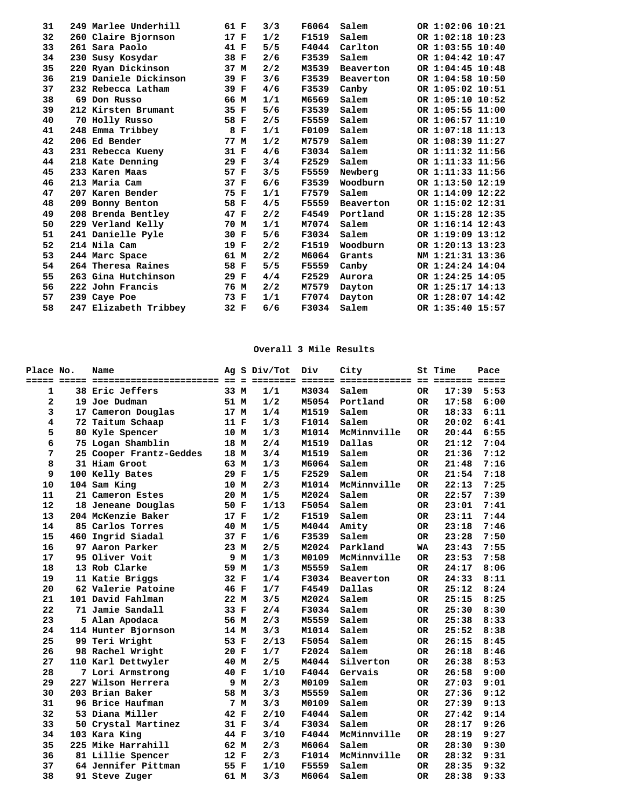| 31 | 249 Marlee Underhill  | 61 F | 3/3 | F6064        | Salem     | OR 1:02:06 10:21 |
|----|-----------------------|------|-----|--------------|-----------|------------------|
| 32 | 260 Claire Bjornson   | 17 F | 1/2 | F1519        | Salem     | OR 1:02:18 10:23 |
| 33 | 261 Sara Paolo        | 41 F | 5/5 | F4044        | Carlton   | OR 1:03:55 10:40 |
| 34 | 230 Susy Kosydar      | 38 F | 2/6 | F3539        | Salem     | OR 1:04:42 10:47 |
| 35 | 220 Ryan Dickinson    | 37 M | 2/2 | M3539        | Beaverton | OR 1:04:45 10:48 |
| 36 | 219 Daniele Dickinson | 39 F | 3/6 | F3539        | Beaverton | OR 1:04:58 10:50 |
| 37 | 232 Rebecca Latham    | 39 F | 4/6 | F3539        | Canby     | OR 1:05:02 10:51 |
| 38 | 69 Don Russo          | 66 M | 1/1 | M6569        | Salem     | OR 1:05:10 10:52 |
| 39 | 212 Kirsten Brumant   | 35 F | 5/6 | F3539        | Salem     | OR 1:05:55 11:00 |
| 40 | 70 Holly Russo        | 58 F | 2/5 | <b>F5559</b> | Salem     | OR 1:06:57 11:10 |
| 41 | 248 Emma Tribbey      | 8 F  | 1/1 | F0109        | Salem     | OR 1:07:18 11:13 |
| 42 | 206 Ed Bender         | 77 M | 1/2 | M7579        | Salem     | OR 1:08:39 11:27 |
| 43 | 231 Rebecca Kueny     | 31 F | 4/6 | F3034        | Salem     | OR 1:11:32 11:56 |
| 44 | 218 Kate Denning      | 29 F | 3/4 | F2529        | Salem     | OR 1:11:33 11:56 |
| 45 | 233 Karen Maas        | 57 F | 3/5 | F5559        | Newberg   | OR 1:11:33 11:56 |
| 46 | 213 Maria Cam         | 37 F | 6/6 | F3539        | Woodburn  | OR 1:13:50 12:19 |
| 47 | 207 Karen Bender      | 75 F | 1/1 | F7579        | Salem     | OR 1:14:09 12:22 |
| 48 | 209 Bonny Benton      | 58 F | 4/5 | F5559        | Beaverton | OR 1:15:02 12:31 |
| 49 | 208 Brenda Bentley    | 47 F | 2/2 | F4549        | Portland  | OR 1:15:28 12:35 |
| 50 | 229 Verland Kelly     | 70 M | 1/1 | M7074        | Salem     | OR 1:16:14 12:43 |
| 51 | 241 Danielle Pyle     | 30 F | 5/6 | F3034        | Salem     | OR 1:19:09 13:12 |
| 52 | 214 Nila Cam          | 19 F | 2/2 | F1519        | Woodburn  | OR 1:20:13 13:23 |
| 53 | 244 Marc Space        | 61 M | 2/2 | <b>M6064</b> | Grants    | NM 1:21:31 13:36 |
| 54 | 264 Theresa Raines    | 58 F | 5/5 | F5559        | Canby     | OR 1:24:24 14:04 |
| 55 | 263 Gina Hutchinson   | 29 F | 4/4 | F2529        | Aurora    | OR 1:24:25 14:05 |
| 56 | 222 John Francis      | 76 M | 2/2 | M7579        | Dayton    | OR 1:25:17 14:13 |
| 57 | 239 Caye Poe          | 73 F | 1/1 | F7074        | Dayton    | OR 1:28:07 14:42 |
| 58 | 247 Elizabeth Tribbey | 32 F | 6/6 | F3034        | Salem     | OR 1:35:40 15:57 |
|    |                       |      |     |              |           |                  |

## **Overall 3 Mile Results**

| Place No.    | Name                    |      |     | Ag S Div/Tot | Div   | City        |           | St Time | Pace |  |
|--------------|-------------------------|------|-----|--------------|-------|-------------|-----------|---------|------|--|
|              |                         |      |     |              |       |             |           |         |      |  |
| 1            | <b>38 Eric Jeffers</b>  | 33 M |     | 1/1          | M3034 | Salem       | 0R        | 17:39   | 5:53 |  |
| $\mathbf{z}$ | 19 Joe Dudman           | 51 M |     | 1/2          | M5054 | Portland    | OR.       | 17:58   | 6:00 |  |
| 3            | 17 Cameron Douglas      | 17 M |     | 1/4          | M1519 | Salem       | OR.       | 18:33   | 6:11 |  |
| 4            | 72 Taitum Schaap        | 11 F |     | 1/3          | F1014 | Salem       | OR.       | 20:02   | 6:41 |  |
| 5            | 80 Kyle Spencer         | 10 M |     | 1/3          | M1014 | McMinnville | OR.       | 20:44   | 6:55 |  |
| 6            | 75 Logan Shamblin       | 18 M |     | 2/4          | M1519 | Dallas      | OR.       | 21:12   | 7:04 |  |
| 7            | 25 Cooper Frantz-Geddes | 18 M |     | 3/4          | M1519 | Salem       | OR.       | 21:36   | 7:12 |  |
| 8            | 31 Hiam Groot           | 63 M |     | 1/3          | M6064 | Salem       | 0R        | 21:48   | 7:16 |  |
| 9            | 100 Kelly Bates         | 29 F |     | 1/5          | F2529 | Salem       | OR.       | 21:54   | 7:18 |  |
| 10           | 104 Sam King            | 10 M |     | 2/3          | M1014 | McMinnville | OR.       | 22:13   | 7:25 |  |
| 11           | 21 Cameron Estes        | 20 M |     | 1/5          | M2024 | Salem       | OR.       | 22:57   | 7:39 |  |
| 12           | 18 Jeneane Douglas      | 50 F |     | 1/13         | F5054 | Salem       | OR.       | 23:01   | 7:41 |  |
| 13           | 204 McKenzie Baker      | 17 F |     | 1/2          | F1519 | Salem       | OR        | 23:11   | 7:44 |  |
| 14           | 85 Carlos Torres        | 40 M |     | 1/5          | M4044 | Amity       | OR.       | 23:18   | 7:46 |  |
| 15           | 460 Ingrid Siadal       | 37 F |     | 1/6          | F3539 | Salem       | OR.       | 23:28   | 7:50 |  |
| 16           | 97 Aaron Parker         | 23 M |     | 2/5          | M2024 | Parkland    | WA        | 23:43   | 7:55 |  |
| 17           | 95 Oliver Voit          | 9    | м   | 1/3          | M0109 | McMinnville | 0R        | 23:53   | 7:58 |  |
| 18           | 13 Rob Clarke           | 59   | M   | 1/3          | M5559 | Salem       | 0R        | 24:17   | 8:06 |  |
| 19           | 11 Katie Briggs         | 32 F |     | 1/4          | F3034 | Beaverton   | OR.       | 24:33   | 8:11 |  |
| 20           | 62 Valerie Patoine      | 46 F |     | 1/7          | F4549 | Dallas      | OR        | 25:12   | 8:24 |  |
| 21           | 101 David Fahlman       | 22 M |     | 3/5          | M2024 | Salem       | OR        | 25:15   | 8:25 |  |
| 22           | 71 Jamie Sandall        | 33 F |     | 2/4          | F3034 | Salem       | OR        | 25:30   | 8:30 |  |
| 23           | 5 Alan Apodaca          | 56 M |     | 2/3          | M5559 | Salem       | OR.       | 25:38   | 8:33 |  |
| 24           | 114 Hunter Bjornson     | 14 M |     | 3/3          | M1014 | Salem       | OR.       | 25:52   | 8:38 |  |
| 25           | 99 Teri Wright          | 53 F |     | 2/13         | F5054 | Salem       | OR.       | 26:15   | 8:45 |  |
| 26           | 98 Rachel Wright        | 20 F |     | 1/7          | F2024 | Salem       | OR.       | 26:18   | 8:46 |  |
| 27           | 110 Karl Dettwyler      | 40 M |     | 2/5          | M4044 | Silverton   | OR.       | 26:38   | 8:53 |  |
| 28           | 7 Lori Armstrong        | 40 F |     | 1/10         | F4044 | Gervais     | OR        | 26:58   | 9:00 |  |
| 29           | 227 Wilson Herrera      |      | 9 M | 2/3          | M0109 | Salem       | OR.       | 27:03   | 9:01 |  |
| 30           | 203 Brian Baker         | 58 M |     | 3/3          | M5559 | Salem       | OR.       | 27:36   | 9:12 |  |
| 31           | 96 Brice Haufman        |      | 7 M | 3/3          | M0109 | Salem       | OR.       | 27:39   | 9:13 |  |
| 32           | 53 Diana Miller         | 42 F |     | 2/10         | F4044 | Salem       | 0R        | 27:42   | 9:14 |  |
| 33           | 50 Crystal Martinez     | 31 F |     | 3/4          | F3034 | Salem       | 0R        | 28:17   | 9:26 |  |
| 34           | 103 Kara King           | 44 F |     | 3/10         | F4044 | McMinnville | 0R        | 28:19   | 9:27 |  |
| 35           | 225 Mike Harrahill      | 62 M |     | 2/3          | M6064 | Salem       | 0R        | 28:30   | 9:30 |  |
| 36           | 81 Lillie Spencer       | 12 F |     | 2/3          | F1014 | McMinnville | 0R        | 28:32   | 9:31 |  |
| 37           | 64 Jennifer Pittman     | 55 F |     | 1/10         | F5559 | Salem       | 0R        | 28:35   | 9:32 |  |
| 38           | 91 Steve Zuger          | 61 M |     | 3/3          | M6064 | Salem       | <b>OR</b> | 28:38   | 9:33 |  |